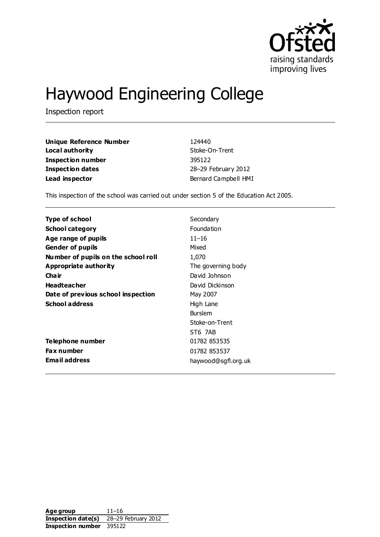

# Haywood Engineering College

Inspection report

| <b>Unique Reference Number</b> | 124440               |
|--------------------------------|----------------------|
| Local authority                | Stoke-On-Trent       |
| Inspection number              | 395122               |
| Inspection dates               | 28-29 February 2012  |
| Lead inspector                 | Bernard Campbell HMI |

This inspection of the school was carried out under section 5 of the Education Act 2005.

| <b>Type of school</b>               | Secondary           |
|-------------------------------------|---------------------|
| <b>School category</b>              | Foundation          |
| Age range of pupils                 | $11 - 16$           |
| <b>Gender of pupils</b>             | Mixed               |
| Number of pupils on the school roll | 1,070               |
| Appropriate authority               | The governing body  |
| Cha ir                              | David Johnson       |
| <b>Headteacher</b>                  | David Dickinson     |
| Date of previous school inspection  | May 2007            |
| <b>School address</b>               | High Lane           |
|                                     | <b>Burslem</b>      |
|                                     | Stoke-on-Trent      |
|                                     | ST6 7AB             |
| Telephone number                    | 01782 853535        |
| <b>Fax number</b>                   | 01782 853537        |
| <b>Email address</b>                | haywood@sgfl.org.uk |

**Age group** 11–16 **Inspection date(s)** 28–29 February 2012 **Inspection number** 395122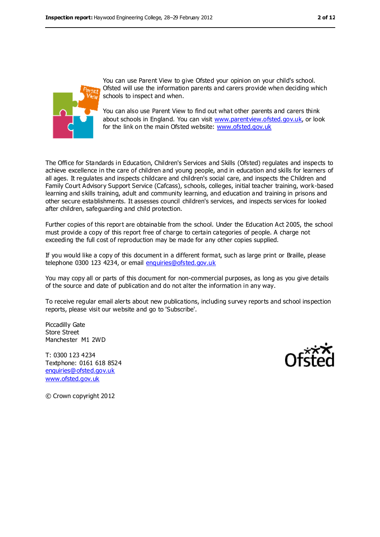

You can use Parent View to give Ofsted your opinion on your child's school. Ofsted will use the information parents and carers provide when deciding which schools to inspect and when.

You can also use Parent View to find out what other parents and carers think about schools in England. You can visit [www.parentview.ofsted.gov.uk,](www.parentview.ofsted.gov.uk) or look for the link on the main Ofsted website:<www.ofsted.gov.uk>

The Office for Standards in Education, Children's Services and Skills (Ofsted) regulates and inspects to achieve excellence in the care of children and young people, and in education and skills for learners of all ages. It regulates and inspects childcare and children's social care, and inspects the Children and Family Court Advisory Support Service (Cafcass), schools, colleges, initial teacher training, work-based learning and skills training, adult and community learning, and education and training in prisons and other secure establishments. It assesses council children's services, and inspects services for looked after children, safeguarding and child protection.

Further copies of this report are obtainable from the school. Under the Education Act 2005, the school must provide a copy of this report free of charge to certain categories of people. A charge not exceeding the full cost of reproduction may be made for any other copies supplied.

If you would like a copy of this document in a different format, such as large print or Braille, please telephone 0300 123 4234, or email [enquiries@ofsted.gov.uk](mailto:enquiries@ofsted.gov.uk)

You may copy all or parts of this document for non-commercial purposes, as long as you give details of the source and date of publication and do not alter the information in any way.

To receive regular email alerts about new publications, including survey reports and school inspection reports, please visit our website and go to 'Subscribe'.

Piccadilly Gate Store Street Manchester M1 2WD

T: 0300 123 4234 Textphone: 0161 618 8524 [enquiries@ofsted.gov.uk](mailto:enquiries@ofsted.gov.uk) [www.ofsted.gov.uk](http://www.ofsted.gov.uk/)



© Crown copyright 2012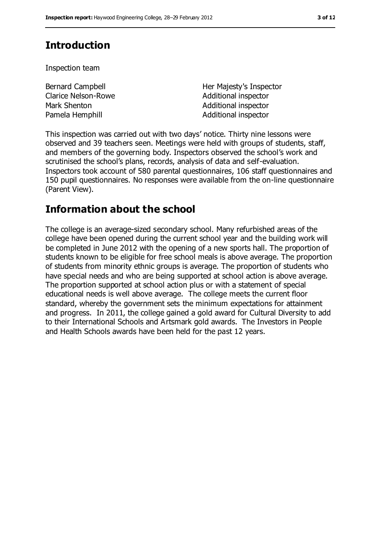## **Introduction**

Inspection team

| Bernard Campbell           | Her Majesty's Inspector |
|----------------------------|-------------------------|
| <b>Clarice Nelson-Rowe</b> | Additional inspector    |
| Mark Shenton               | Additional inspector    |
| Pamela Hemphill            | Additional inspector    |

This inspection was carried out with two days' notice. Thirty nine lessons were observed and 39 teachers seen. Meetings were held with groups of students, staff, and members of the governing body. Inspectors observed the school's work and scrutinised the school's plans, records, analysis of data and self-evaluation. Inspectors took account of 580 parental questionnaires, 106 staff questionnaires and 150 pupil questionnaires. No responses were available from the on-line questionnaire (Parent View).

### **Information about the school**

The college is an average-sized secondary school. Many refurbished areas of the college have been opened during the current school year and the building work will be completed in June 2012 with the opening of a new sports hall. The proportion of students known to be eligible for free school meals is above average. The proportion of students from minority ethnic groups is average. The proportion of students who have special needs and who are being supported at school action is above average. The proportion supported at school action plus or with a statement of special educational needs is well above average. The college meets the current floor standard, whereby the government sets the minimum expectations for attainment and progress. In 2011, the college gained a gold award for Cultural Diversity to add to their International Schools and Artsmark gold awards. The Investors in People and Health Schools awards have been held for the past 12 years.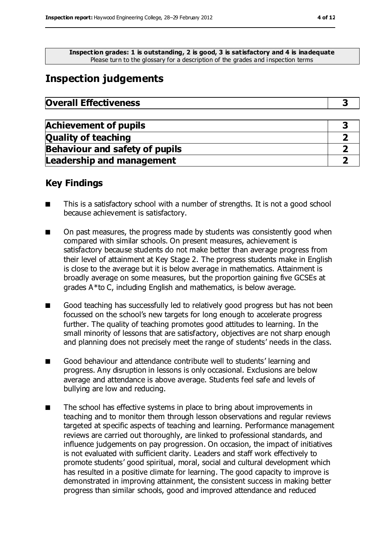**Inspection grades: 1 is outstanding, 2 is good, 3 is satisfactory and 4 is inadequate** Please turn to the glossary for a description of the grades and i nspection terms

### **Inspection judgements**

| <b>Overall Effectiveness</b> |  |
|------------------------------|--|
|------------------------------|--|

| <b>Achievement of pupils</b>          |  |
|---------------------------------------|--|
| <b>Quality of teaching</b>            |  |
| <b>Behaviour and safety of pupils</b> |  |
| <b>Leadership and management</b>      |  |

#### **Key Findings**

- This is a satisfactory school with a number of strengths. It is not a good school because achievement is satisfactory.
- On past measures, the progress made by students was consistently good when compared with similar schools. On present measures, achievement is satisfactory because students do not make better than average progress from their level of attainment at Key Stage 2. The progress students make in English is close to the average but it is below average in mathematics. Attainment is broadly average on some measures, but the proportion gaining five GCSEs at grades A\*to C, including English and mathematics, is below average.
- Good teaching has successfully led to relatively good progress but has not been focussed on the school's new targets for long enough to accelerate progress further. The quality of teaching promotes good attitudes to learning. In the small minority of lessons that are satisfactory, objectives are not sharp enough and planning does not precisely meet the range of students' needs in the class.
- Good behaviour and attendance contribute well to students' learning and progress. Any disruption in lessons is only occasional. Exclusions are below average and attendance is above average. Students feel safe and levels of bullying are low and reducing.
- The school has effective systems in place to bring about improvements in teaching and to monitor them through lesson observations and regular reviews targeted at specific aspects of teaching and learning. Performance management reviews are carried out thoroughly, are linked to professional standards, and influence judgements on pay progression. On occasion, the impact of initiatives is not evaluated with sufficient clarity. Leaders and staff work effectively to promote students' good spiritual, moral, social and cultural development which has resulted in a positive climate for learning. The good capacity to improve is demonstrated in improving attainment, the consistent success in making better progress than similar schools, good and improved attendance and reduced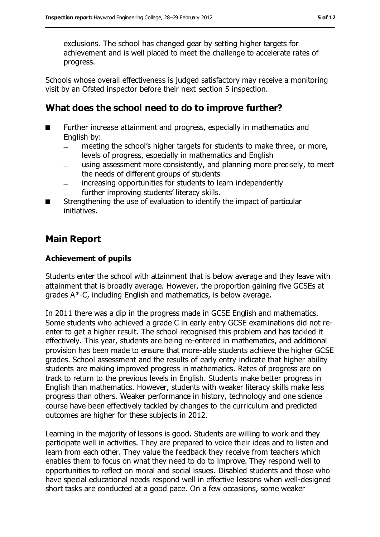exclusions. The school has changed gear by setting higher targets for achievement and is well placed to meet the challenge to accelerate rates of progress.

Schools whose overall effectiveness is judged satisfactory may receive a monitoring visit by an Ofsted inspector before their next section 5 inspection.

### **What does the school need to do to improve further?**

- Further increase attainment and progress, especially in mathematics and English by:
	- meeting the school's higher targets for students to make three, or more, levels of progress, especially in mathematics and English
	- using assessment more consistently, and planning more precisely, to meet the needs of different groups of students
	- increasing opportunities for students to learn independently  $\equiv$
	- further improving students' literacy skills.
- Strengthening the use of evaluation to identify the impact of particular initiatives.

### **Main Report**

#### **Achievement of pupils**

Students enter the school with attainment that is below average and they leave with attainment that is broadly average. However, the proportion gaining five GCSEs at grades A\*-C, including English and mathematics, is below average.

In 2011 there was a dip in the progress made in GCSE English and mathematics. Some students who achieved a grade C in early entry GCSE examinations did not reenter to get a higher result. The school recognised this problem and has tackled it effectively. This year, students are being re-entered in mathematics, and additional provision has been made to ensure that more-able students achieve the higher GCSE grades. School assessment and the results of early entry indicate that higher ability students are making improved progress in mathematics. Rates of progress are on track to return to the previous levels in English. Students make better progress in English than mathematics. However, students with weaker literacy skills make less progress than others. Weaker performance in history, technology and one science course have been effectively tackled by changes to the curriculum and predicted outcomes are higher for these subjects in 2012.

Learning in the majority of lessons is good. Students are willing to work and they participate well in activities. They are prepared to voice their ideas and to listen and learn from each other. They value the feedback they receive from teachers which enables them to focus on what they need to do to improve. They respond well to opportunities to reflect on moral and social issues. Disabled students and those who have special educational needs respond well in effective lessons when well-designed short tasks are conducted at a good pace. On a few occasions, some weaker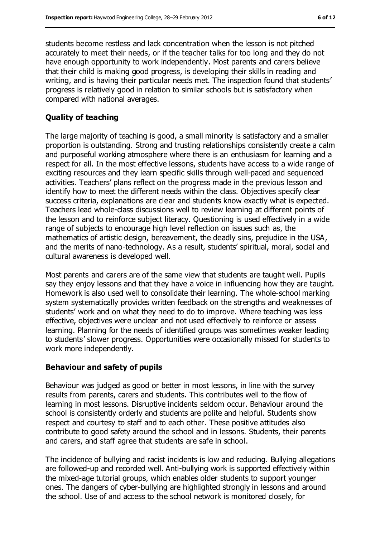students become restless and lack concentration when the lesson is not pitched accurately to meet their needs, or if the teacher talks for too long and they do not have enough opportunity to work independently. Most parents and carers believe that their child is making good progress, is developing their skills in reading and writing, and is having their particular needs met. The inspection found that students' progress is relatively good in relation to similar schools but is satisfactory when compared with national averages.

#### **Quality of teaching**

The large majority of teaching is good, a small minority is satisfactory and a smaller proportion is outstanding. Strong and trusting relationships consistently create a calm and purposeful working atmosphere where there is an enthusiasm for learning and a respect for all. In the most effective lessons, students have access to a wide range of exciting resources and they learn specific skills through well-paced and sequenced activities. Teachers' plans reflect on the progress made in the previous lesson and identify how to meet the different needs within the class. Objectives specify clear success criteria, explanations are clear and students know exactly what is expected. Teachers lead whole-class discussions well to review learning at different points of the lesson and to reinforce subject literacy. Questioning is used effectively in a wide range of subjects to encourage high level reflection on issues such as, the mathematics of artistic design, bereavement, the deadly sins, prejudice in the USA, and the merits of nano-technology. As a result, students' spiritual, moral, social and cultural awareness is developed well.

Most parents and carers are of the same view that students are taught well. Pupils say they enjoy lessons and that they have a voice in influencing how they are taught. Homework is also used well to consolidate their learning. The whole-school marking system systematically provides written feedback on the strengths and weaknesses of students' work and on what they need to do to improve. Where teaching was less effective, objectives were unclear and not used effectively to reinforce or assess learning. Planning for the needs of identified groups was sometimes weaker leading to students' slower progress. Opportunities were occasionally missed for students to work more independently.

#### **Behaviour and safety of pupils**

Behaviour was judged as good or better in most lessons, in line with the survey results from parents, carers and students. This contributes well to the flow of learning in most lessons. Disruptive incidents seldom occur. Behaviour around the school is consistently orderly and students are polite and helpful. Students show respect and courtesy to staff and to each other. These positive attitudes also contribute to good safety around the school and in lessons. Students, their parents and carers, and staff agree that students are safe in school.

The incidence of bullying and racist incidents is low and reducing. Bullying allegations are followed-up and recorded well. Anti-bullying work is supported effectively within the mixed-age tutorial groups, which enables older students to support younger ones. The dangers of cyber-bullying are highlighted strongly in lessons and around the school. Use of and access to the school network is monitored closely, for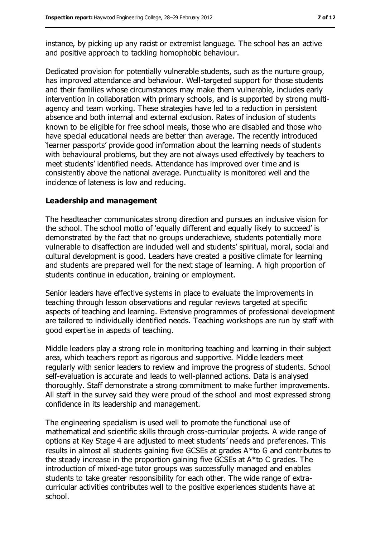instance, by picking up any racist or extremist language. The school has an active and positive approach to tackling homophobic behaviour.

Dedicated provision for potentially vulnerable students, such as the nurture group, has improved attendance and behaviour. Well-targeted support for those students and their families whose circumstances may make them vulnerable, includes early intervention in collaboration with primary schools, and is supported by strong multiagency and team working. These strategies have led to a reduction in persistent absence and both internal and external exclusion. Rates of inclusion of students known to be eligible for free school meals, those who are disabled and those who have special educational needs are better than average. The recently introduced 'learner passports' provide good information about the learning needs of students with behavioural problems, but they are not always used effectively by teachers to meet students' identified needs. Attendance has improved over time and is consistently above the national average. Punctuality is monitored well and the incidence of lateness is low and reducing.

#### **Leadership and management**

The headteacher communicates strong direction and pursues an inclusive vision for the school. The school motto of 'equally different and equally likely to succeed' is demonstrated by the fact that no groups underachieve, students potentially more vulnerable to disaffection are included well and students' spiritual, moral, social and cultural development is good. Leaders have created a positive climate for learning and students are prepared well for the next stage of learning. A high proportion of students continue in education, training or employment.

Senior leaders have effective systems in place to evaluate the improvements in teaching through lesson observations and regular reviews targeted at specific aspects of teaching and learning. Extensive programmes of professional development are tailored to individually identified needs. Teaching workshops are run by staff with good expertise in aspects of teaching.

Middle leaders play a strong role in monitoring teaching and learning in their subject area, which teachers report as rigorous and supportive. Middle leaders meet regularly with senior leaders to review and improve the progress of students. School self-evaluation is accurate and leads to well-planned actions. Data is analysed thoroughly. Staff demonstrate a strong commitment to make further improvements. All staff in the survey said they were proud of the school and most expressed strong confidence in its leadership and management.

The engineering specialism is used well to promote the functional use of mathematical and scientific skills through cross-curricular projects. A wide range of options at Key Stage 4 are adjusted to meet students' needs and preferences. This results in almost all students gaining five GCSEs at grades A\*to G and contributes to the steady increase in the proportion gaining five GCSEs at A\*to C grades. The introduction of mixed-age tutor groups was successfully managed and enables students to take greater responsibility for each other. The wide range of extracurricular activities contributes well to the positive experiences students have at school.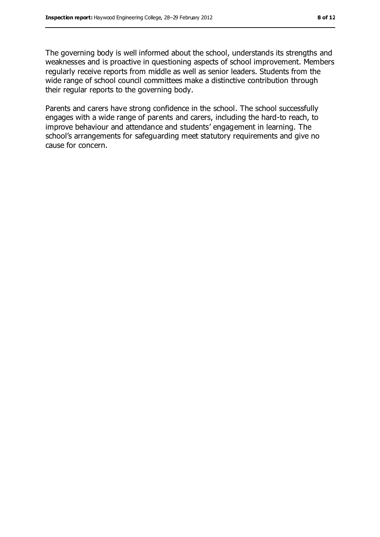The governing body is well informed about the school, understands its strengths and weaknesses and is proactive in questioning aspects of school improvement. Members regularly receive reports from middle as well as senior leaders. Students from the wide range of school council committees make a distinctive contribution through their regular reports to the governing body.

Parents and carers have strong confidence in the school. The school successfully engages with a wide range of parents and carers, including the hard-to reach, to improve behaviour and attendance and students' engagement in learning. The school's arrangements for safeguarding meet statutory requirements and give no cause for concern.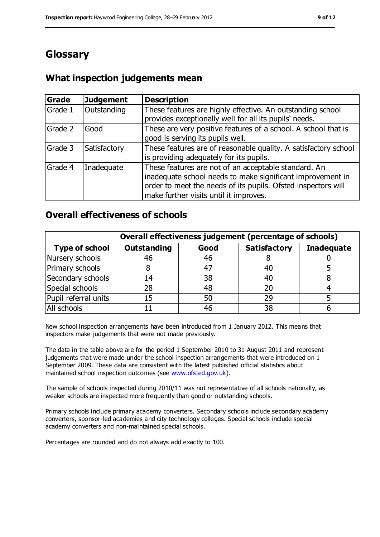### **Glossary**

### **What inspection judgements mean**

| Grade   | <b>Judgement</b> | <b>Description</b>                                                                                                                                                                                                            |
|---------|------------------|-------------------------------------------------------------------------------------------------------------------------------------------------------------------------------------------------------------------------------|
| Grade 1 | Outstanding      | These features are highly effective. An outstanding school<br>provides exceptionally well for all its pupils' needs.                                                                                                          |
| Grade 2 | Good             | These are very positive features of a school. A school that is<br>good is serving its pupils well.                                                                                                                            |
| Grade 3 | Satisfactory     | These features are of reasonable quality. A satisfactory school<br>is providing adequately for its pupils.                                                                                                                    |
| Grade 4 | Inadequate       | These features are not of an acceptable standard. An<br>inadequate school needs to make significant improvement in<br>order to meet the needs of its pupils. Ofsted inspectors will<br>make further visits until it improves. |

### **Overall effectiveness of schools**

|                       | Overall effectiveness judgement (percentage of schools) |      |                     |                   |
|-----------------------|---------------------------------------------------------|------|---------------------|-------------------|
| <b>Type of school</b> | <b>Outstanding</b>                                      | Good | <b>Satisfactory</b> | <b>Inadequate</b> |
| Nursery schools       | 46                                                      | 46   |                     |                   |
| Primary schools       | 8                                                       | 47   | 40                  |                   |
| Secondary schools     | 14                                                      | 38   | 40                  |                   |
| Special schools       | 28                                                      | 48   | 20                  |                   |
| Pupil referral units  | 15                                                      | 50   | 29                  |                   |
| All schools           |                                                         | 46   | 38                  |                   |

New school inspection arrangements have been introduced from 1 January 2012. This means that inspectors make judgements that were not made previously.

The data in the table above are for the period 1 September 2010 to 31 August 2011 and represent judgements that were made under the school inspection arrangements that were introduced on 1 September 2009. These data are consistent with the latest published official statistics about maintained school inspection outcomes (see [www.ofsted.gov.uk\)](www.ofsted.gov.uk).

The sample of schools inspected during 2010/11 was not representative of all schools nationally, as weaker schools are inspected more frequently than good or outstanding schools.

Primary schools include primary academy converters. Secondary schools include secondary academy converters, sponsor-led academies and city technology colleges. Special schools include special academy converters and non-maintained special schools.

Percentages are rounded and do not always add exactly to 100.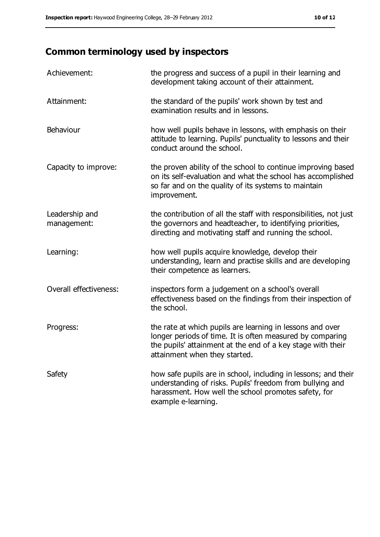## **Common terminology used by inspectors**

| Achievement:                  | the progress and success of a pupil in their learning and<br>development taking account of their attainment.                                                                                                           |
|-------------------------------|------------------------------------------------------------------------------------------------------------------------------------------------------------------------------------------------------------------------|
| Attainment:                   | the standard of the pupils' work shown by test and<br>examination results and in lessons.                                                                                                                              |
| Behaviour                     | how well pupils behave in lessons, with emphasis on their<br>attitude to learning. Pupils' punctuality to lessons and their<br>conduct around the school.                                                              |
| Capacity to improve:          | the proven ability of the school to continue improving based<br>on its self-evaluation and what the school has accomplished<br>so far and on the quality of its systems to maintain<br>improvement.                    |
| Leadership and<br>management: | the contribution of all the staff with responsibilities, not just<br>the governors and headteacher, to identifying priorities,<br>directing and motivating staff and running the school.                               |
| Learning:                     | how well pupils acquire knowledge, develop their<br>understanding, learn and practise skills and are developing<br>their competence as learners.                                                                       |
| Overall effectiveness:        | inspectors form a judgement on a school's overall<br>effectiveness based on the findings from their inspection of<br>the school.                                                                                       |
| Progress:                     | the rate at which pupils are learning in lessons and over<br>longer periods of time. It is often measured by comparing<br>the pupils' attainment at the end of a key stage with their<br>attainment when they started. |
| Safety                        | how safe pupils are in school, including in lessons; and their<br>understanding of risks. Pupils' freedom from bullying and<br>harassment. How well the school promotes safety, for<br>example e-learning.             |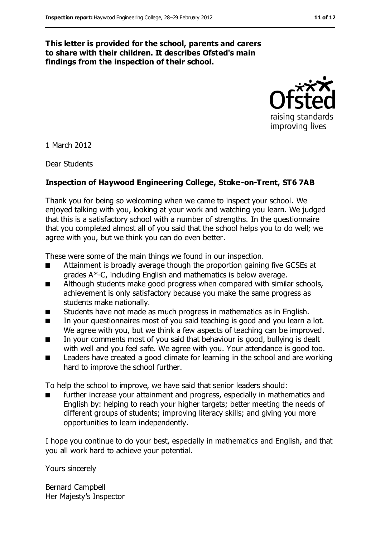#### **This letter is provided for the school, parents and carers to share with their children. It describes Ofsted's main findings from the inspection of their school.**



1 March 2012

Dear Students

#### **Inspection of Haywood Engineering College, Stoke-on-Trent, ST6 7AB**

Thank you for being so welcoming when we came to inspect your school. We enjoyed talking with you, looking at your work and watching you learn. We judged that this is a satisfactory school with a number of strengths. In the questionnaire that you completed almost all of you said that the school helps you to do well; we agree with you, but we think you can do even better.

These were some of the main things we found in our inspection.

- Attainment is broadly average though the proportion gaining five GCSEs at grades A\*-C, including English and mathematics is below average.
- Although students make good progress when compared with similar schools, achievement is only satisfactory because you make the same progress as students make nationally.
- Students have not made as much progress in mathematics as in English.
- In your questionnaires most of you said teaching is good and you learn a lot. We agree with you, but we think a few aspects of teaching can be improved.
- In your comments most of you said that behaviour is good, bullying is dealt with well and you feel safe. We agree with you. Your attendance is good too.
- Leaders have created a good climate for learning in the school and are working hard to improve the school further.

To help the school to improve, we have said that senior leaders should:

further increase your attainment and progress, especially in mathematics and English by: helping to reach your higher targets; better meeting the needs of different groups of students; improving literacy skills; and giving you more opportunities to learn independently.

I hope you continue to do your best, especially in mathematics and English, and that you all work hard to achieve your potential.

Yours sincerely

Bernard Campbell Her Majesty's Inspector